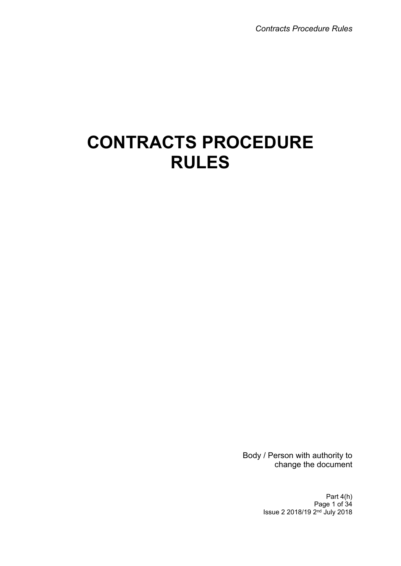# **CONTRACTS PROCEDURE RULES**

Body / Person with authority to change the document

> Part 4(h) Page 1 of 34 Issue 2 2018/19 2<sup>nd</sup> July 2018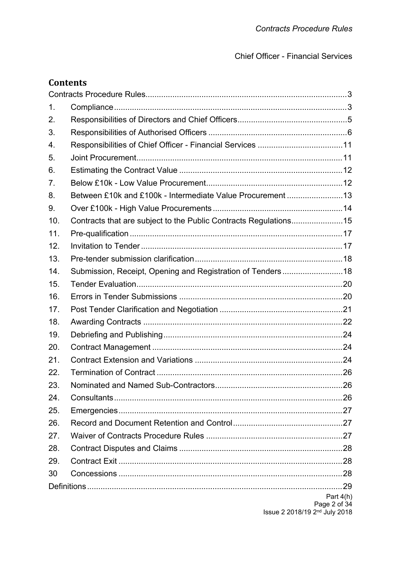Chief Officer - Financial Services

# **Contents**

| 1.  |                                                                  |                                           |
|-----|------------------------------------------------------------------|-------------------------------------------|
| 2.  |                                                                  |                                           |
| 3.  |                                                                  |                                           |
| 4.  |                                                                  |                                           |
| 5.  |                                                                  |                                           |
| 6.  |                                                                  |                                           |
| 7.  |                                                                  |                                           |
| 8.  | Between £10k and £100k - Intermediate Value Procurement 13       |                                           |
| 9.  |                                                                  |                                           |
| 10. | Contracts that are subject to the Public Contracts Regulations15 |                                           |
| 11. |                                                                  |                                           |
| 12. |                                                                  |                                           |
| 13. |                                                                  |                                           |
| 14. | Submission, Receipt, Opening and Registration of Tenders18       |                                           |
| 15. |                                                                  |                                           |
| 16. |                                                                  |                                           |
| 17. |                                                                  |                                           |
| 18. |                                                                  |                                           |
| 19. |                                                                  |                                           |
| 20. |                                                                  |                                           |
| 21. |                                                                  |                                           |
| 22. |                                                                  |                                           |
| 23. |                                                                  |                                           |
| 24. |                                                                  |                                           |
| 25. |                                                                  |                                           |
| 26. |                                                                  |                                           |
| 27. |                                                                  |                                           |
| 28. |                                                                  |                                           |
| 29. |                                                                  |                                           |
| 30  |                                                                  |                                           |
|     |                                                                  |                                           |
|     |                                                                  | Part $4(h)$<br>Page 2 of 34               |
|     |                                                                  | Issue 2 2018/19 2 <sup>nd</sup> July 2018 |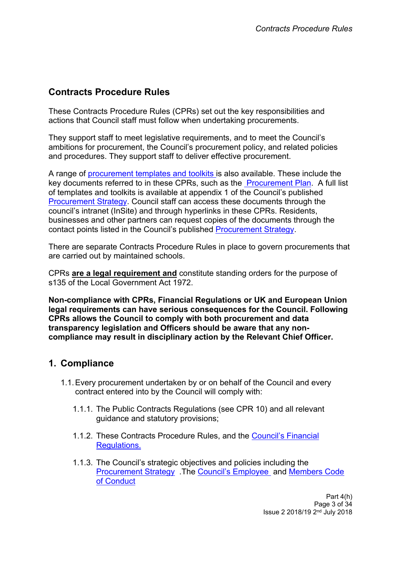# <span id="page-2-0"></span>**Contracts Procedure Rules**

These Contracts Procedure Rules (CPRs) set out the key responsibilities and actions that Council staff must follow when undertaking procurements.

They support staff to meet legislative requirements, and to meet the Council's ambitions for procurement, the Council's procurement policy, and related policies and procedures. They support staff to deliver effective procurement.

A range of [procurement](http://insite.leeds.gov.uk/DoItOnline/Pages/default.aspx?cat=Procuring%20and%20managing%20a%20contract) templates and toolkits is also available. These include the key documents referred to in these CPRs, such as the [Procurement](http://insite.leeds.gov.uk/DoItOnline/Pages/Default.aspx?cat=Procuring%20and%20managing%20a%20contract) Plan. A full list of templates and toolkits is available at appendix 1 of the Council's published [Procurement](http://www.leeds.gov.uk/docs/Procurement%20Strategy%20V1.0%20PUBLISH%2030.09.2013.pdf) Strategy. Council staff can access these documents through the council's intranet (InSite) and through hyperlinks in these CPRs. Residents, businesses and other partners can request copies of the documents through the contact points listed in the Council's published [Procurement](http://www.leeds.gov.uk/docs/Procurement%20Strategy%20V1.0%20PUBLISH%2030.09.2013.pdf) Strategy.

There are separate Contracts Procedure Rules in place to govern procurements that are carried out by maintained schools.

CPRs **are a legal requirement and** constitute standing orders for the purpose of s135 of the Local Government Act 1972.

**Non-compliance with CPRs, Financial Regulations or UK and European Union legal requirements can have serious consequences for the Council. Following CPRs allows the Council to comply with both procurement and data transparency legislation and Officers should be aware that any noncompliance may result in disciplinary action by the Relevant Chief Officer.**

## <span id="page-2-1"></span>**1. Compliance**

- 1.1.Every procurement undertaken by or on behalf of the Council and every contract entered into by the Council will comply with:
	- 1.1.1. The Public Contracts Regulations (see CPR 10) and all relevant guidance and statutory provisions;
	- 1.1.2. These Contracts Procedure Rules, and the [Council's](http://insite.leeds.gov.uk/PoliciesAndProcedures/Documents/Financial%20Regulations.pdf) Financial [Regulations.](http://insite.leeds.gov.uk/PoliciesAndProcedures/Documents/Financial%20Regulations.pdf)
	- 1.1.3. The Council's strategic objectives and policies including the [Procurement](http://www.leeds.gov.uk/docs/Procurement%20Strategy%20V1.0%20PUBLISH%2030.09.2013.pdf) Strategy .The Council's [Employee](http://insite.leeds.gov.uk/PoliciesAndProcedures/Documents/Employee%20code%20of%20conduct.pdf) and [Members](http://insite.leeds.gov.uk/Root%20document%20library/Members%20Code%20of%20Conduct.pdf) Code of [Conduct](http://insite.leeds.gov.uk/Root%20document%20library/Members%20Code%20of%20Conduct.pdf)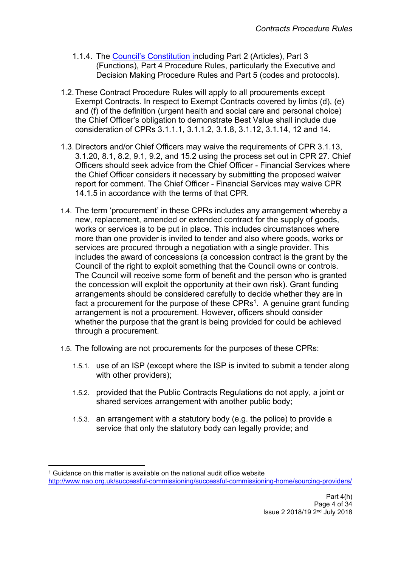- 1.1.4. The Council's [Constitution](http://www.leeds.gov.uk/council/Pages/Constitution.aspx) including Part 2 (Articles), Part 3 (Functions), Part 4 Procedure Rules, particularly the Executive and Decision Making Procedure Rules and Part 5 (codes and protocols).
- 1.2.These Contract Procedure Rules will apply to all procurements except Exempt Contracts. In respect to Exempt Contracts covered by limbs (d), (e) and (f) of the definition (urgent health and social care and personal choice) the Chief Officer's obligation to demonstrate Best Value shall include due consideration of CPRs 3.1.1.1, 3.1.1.2, 3.1.8, 3.1.12, 3.1.14, 12 and 14.
- 1.3.Directors and/or Chief Officers may waive the requirements of CPR 3.1.13, 3.1.20, 8.1, 8.2, 9.1, 9.2, and 15.2 using the process set out in CPR 27. Chief Officers should seek advice from the Chief Officer - Financial Services where the Chief Officer considers it necessary by submitting the proposed waiver report for comment. The Chief Officer - Financial Services may waive CPR 14.1.5 in accordance with the terms of that CPR.
- 1.4. The term 'procurement' in these CPRs includes any arrangement whereby a new, replacement, amended or extended contract for the supply of goods, works or services is to be put in place. This includes circumstances where more than one provider is invited to tender and also where goods, works or services are procured through a negotiation with a single provider. This includes the award of concessions (a concession contract is the grant by the Council of the right to exploit something that the Council owns or controls. The Council will receive some form of benefit and the person who is granted the concession will exploit the opportunity at their own risk). Grant funding arrangements should be considered carefully to decide whether they are in fact a procurement for the purpose of these  $CPRs<sup>1</sup>$ . A genuine grant funding arrangement is not a procurement. However, officers should consider whether the purpose that the grant is being provided for could be achieved through a procurement.
- 1.5. The following are not procurements for the purposes of these CPRs:
	- 1.5.1. use of an ISP (except where the ISP is invited to submit a tender along with other providers);
	- 1.5.2. provided that the Public Contracts Regulations do not apply, a joint or shared services arrangement with another public body;
	- 1.5.3. an arrangement with a statutory body (e.g. the police) to provide a service that only the statutory body can legally provide; and

<sup>&</sup>lt;sup>1</sup> Guidance on this matter is available on the national audit office website <http://www.nao.org.uk/successful-commissioning/successful-commissioning-home/sourcing-providers/>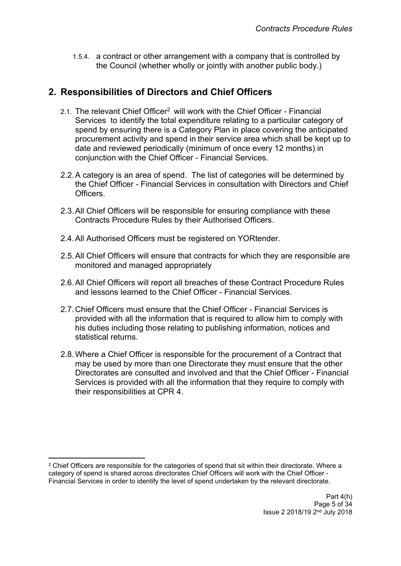1.5.4. a contract or other arrangement with a company that is controlled by the Council (whether wholly or jointly with another public body.)

# <span id="page-4-0"></span>**2. Responsibilities of Directors and Chief Officers**

- 2.1. The relevant Chief Officer<sup>2</sup> will work with the Chief Officer Financial Services to identify the total expenditure relating to a particular category of spend by ensuring there is a [Category](http://insite.leeds.gov.uk/DoItOnline/Pages/Forms-and-guidance.aspx?cat=Procuring%20and%20managing%20a%20contract) Plan in place covering the anticipated procurement activity and spend in their service area which shall be kept up to date and reviewed periodically (minimum of once every 12 months) in conjunction with the Chief Officer - Financial Services.
- 2.2.A category is an area of spend. The list of categories will be determined by the Chief Officer - Financial Services in consultation with Directors and Chief **Officers**
- 2.3.All Chief Officers will be responsible for ensuring compliance with these Contracts Procedure Rules by their Authorised Officers.
- 2.4.All Authorised Officers must be registered on YORtender.
- 2.5.All Chief Officers will ensure that contracts for which they are responsible are monitored and managed appropriately
- 2.6.All Chief Officers will report all breaches of these Contract Procedure Rules and lessons learned to the Chief Officer - Financial Services.
- 2.7.Chief Officers must ensure that the Chief Officer Financial Services is provided with all the information that is required to allow him to comply with his duties including those relating to publishing information, notices and statistical returns.
- 2.8.Where a Chief Officer is responsible for the procurement of a Contract that may be used by more than one Directorate they must ensure that the other Directorates are consulted and involved and that the Chief Officer - Financial Services is provided with all the information that they require to comply with their responsibilities at CPR 4.

<sup>&</sup>lt;sup>2</sup> Chief Officers are responsible for the categories of spend that sit within their directorate. Where a category of spend is shared across directorates Chief Officers will work with the Chief Officer - Financial Services in order to identify the level of spend undertaken by the relevant directorate.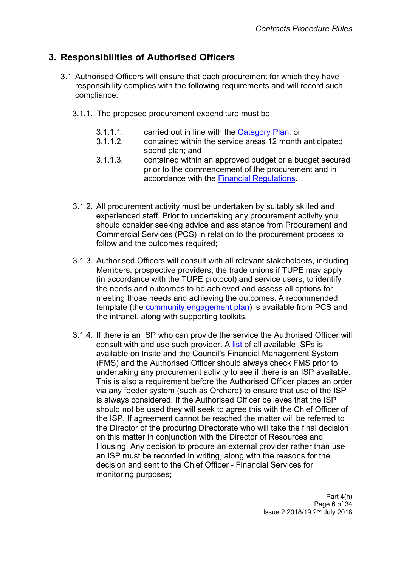# <span id="page-5-0"></span>**3. Responsibilities of Authorised Officers**

- 3.1.Authorised Officers will ensure that each procurement for which they have responsibility complies with the following requirements and will record such compliance:
	- 3.1.1. The proposed procurement expenditure must be
		- 3.1.1.1. carried out in line with the [Category](http://insite.leeds.gov.uk/pages/search.aspx?k=Category%20Plan&u=http://insite.leeds.gov.uk) Plan; or
		- 3.1.1.2. contained within the service areas 12 month anticipated spend plan; and
		- 3.1.1.3. contained within an approved budget or a budget secured prior to the commencement of the procurement and in accordance with the Financial [Regulations.](http://insite.leeds.gov.uk/PoliciesAndProcedures/Documents/Financial%20Regulations.pdf)
	- 3.1.2. All procurement activity must be undertaken by suitably skilled and experienced staff. Prior to undertaking any procurement activity you should consider seeking advice and assistance from Procurement and Commercial Services (PCS) in relation to the procurement process to follow and the outcomes required;
	- 3.1.3. Authorised Officers will consult with all relevant stakeholders, including Members, prospective providers, the trade unions if TUPE may apply (in accordance with the TUPE protocol) and service users, to identify the needs and outcomes to be achieved and assess all options for meeting those needs and achieving the outcomes. A recommended template (the community [engagement](http://insite.leeds.gov.uk/toolkits/Pages/Community-engagement.aspx) plan) is available from PCS and the intranet, along with supporting toolkits.
	- 3.1.4. If there is an ISP who can provide the service the Authorised Officer will consult with and use such provider. A [list](http://insite.leeds.gov.uk/toolkits/Pages/Using-internal-and-contracted-suppliers.aspx) of all available ISPs is available on Insite and the Council's Financial Management System (FMS) and the Authorised Officer should always check FMS prior to undertaking any procurement activity to see if there is an ISP available. This is also a requirement before the Authorised Officer places an order via any feeder system (such as Orchard) to ensure that use of the ISP is always considered. If the Authorised Officer believes that the ISP should not be used they will seek to agree this with the Chief Officer of the ISP. If agreement cannot be reached the matter will be referred to the Director of the procuring Directorate who will take the final decision on this matter in conjunction with the Director of Resources and Housing. Any decision to procure an external provider rather than use an ISP must be recorded in writing, along with the reasons for the decision and sent to the Chief Officer - Financial Services for monitoring purposes;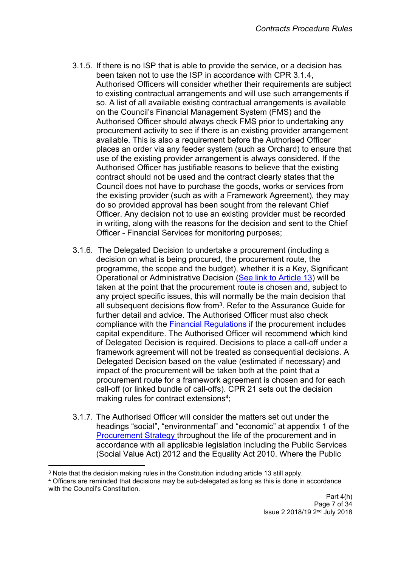- 3.1.5. If there is no ISP that is able to provide the service, or a decision has been taken not to use the ISP in accordance with CPR 3.1.4, Authorised Officers will consider whether their requirements are subject to existing contractual arrangements and will use such arrangements if so. A list of all available existing contractual arrangements is available on the Council's Financial Management System (FMS) and the Authorised Officer should always check FMS prior to undertaking any procurement activity to see if there is an existing provider arrangement available. This is also a requirement before the Authorised Officer places an order via any feeder system (such as Orchard) to ensure that use of the existing provider arrangement is always considered. If the Authorised Officer has justifiable reasons to believe that the existing contract should not be used and the contract clearly states that the Council does not have to purchase the goods, works or services from the existing provider (such as with a Framework Agreement), they may do so provided approval has been sought from the relevant Chief Officer. Any decision not to use an existing provider must be recorded in writing, along with the reasons for the decision and sent to the Chief Officer - Financial Services for monitoring purposes;
- 3.1.6. The Delegated Decision to undertake a procurement (including a decision on what is being procured, the procurement route, the programme, the scope and the budget), whether it is a Key, Significant Operational or Administrative Decision (See link to [Article](https://democracy.leeds.gov.uk/ecSDDisplay.aspx?NAME=SD3300&ID=3300&RPID=23463038) 13) will be taken at the point that the procurement route is chosen and, subject to any project specific issues, this will normally be the main decision that all subsequent decisions flow from<sup>3</sup>. Refer to the Assurance Guide for further detail and advice. The Authorised Officer must also check compliance with the Financial [Regulations](http://insite.leeds.gov.uk/PoliciesAndProcedures/Documents/Financial%20Regulations.pdf) if the procurement includes capital expenditure. The Authorised Officer will recommend which kind of Delegated Decision is required. Decisions to place a call-off under a framework agreement will not be treated as consequential decisions. A Delegated Decision based on the value (estimated if necessary) and impact of the procurement will be taken both at the point that a procurement route for a framework agreement is chosen and for each call-off (or linked bundle of call-offs). CPR 21 sets out the decision making rules for contract extensions<sup>4</sup>;
- 3.1.7. The Authorised Officer will consider the matters set out under the headings "social", "environmental" and "economic" at appendix 1 of th[e](http://www.leeds.gov.uk/docs/Procurement%20Strategy%20V1.0%20PUBLISH%2030.09.2013.pdf) [Procurement](http://www.leeds.gov.uk/docs/Procurement%20Strategy%20V1.0%20PUBLISH%2030.09.2013.pdf) Strategy throughout the life of the procurement and in accordance with all applicable legislation including the Public Services (Social Value Act) 2012 and the Equality Act 2010. Where the Public

<sup>3</sup> Note that the decision making rules in the Constitution including article 13 still apply.

<sup>4</sup> Officers are reminded that decisions may be sub-delegated as long as this is done in accordance with the Council's Constitution.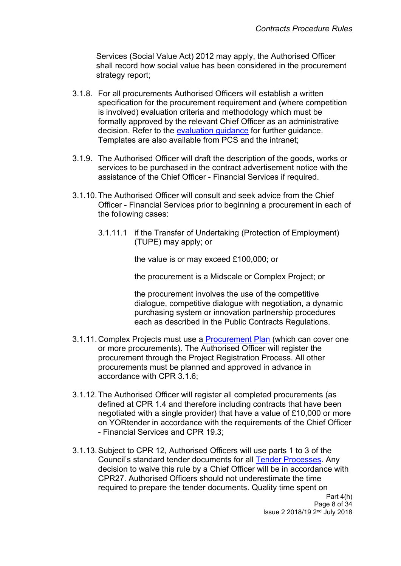Services (Social Value Act) 2012 may apply, the Authorised Officer shall record how social value has been considered in the procurement strategy report;

- 3.1.8. For all procurements Authorised Officers will establish a written specification for the procurement requirement and (where competition is involved) evaluation criteria and methodology which must be formally approved by the relevant Chief Officer as an administrative decision. Refer to the [evaluation](http://insite.leeds.gov.uk/Root%20document%20library/Tender%20evaluation%20guidance.pdf) guidance for further guidance. Templates are also available from PCS and the intranet;
- 3.1.9. The Authorised Officer will draft the description of the goods, works or services to be purchased in the contract advertisement notice with the assistance of the Chief Officer - Financial Services if required.
- 3.1.10.The Authorised Officer will consult and seek advice from the Chief Officer - Financial Services prior to beginning a procurement in each of the following cases:
	- 3.1.11.1 if the Transfer of Undertaking (Protection of Employment) (TUPE) may apply; or

the value is or may exceed £100,000; or

the procurement is a Midscale or Complex Project; or

the procurement involves the use of the competitive dialogue, competitive dialogue with negotiation, a dynamic purchasing system or innovation partnership procedures each as described in the Public Contracts Regulations.

- 3.1.11.Complex Projects must use a [Procurement](http://insite.leeds.gov.uk/DoItOnline/Pages/Forms-and-guidance.aspx?cat=Procuring%20and%20managing%20a%20contract) Plan (which can cover one or more procurements). The Authorised Officer will register the procurement through the Project Registration Process. All other procurements must be planned and approved in advance in accordance with CPR 3.1.6;
- 3.1.12.The Authorised Officer will register all completed procurements (as defined at CPR 1.4 and therefore including contracts that have been negotiated with a single provider) that have a value of £10,000 or more on YORtender in accordance with the requirements of the Chief Officer - Financial Services and CPR 19.3;
- 3.1.13.Subject to CPR 12, Authorised Officers will use parts 1 to 3 of the Council's standard tender [documents](http://insite.leeds.gov.uk/DoItOnline/Pages/default.aspx?cat=Procuring%20and%20managing%20a%20contract) for all Tender [Processes](http://insite.leeds.gov.uk/toolkits/Pages/Delivering-a-procurement.aspx). Any decision to waive this rule by a Chief Officer will be in accordance with CPR27. Authorised Officers should not underestimate the time required to prepare the tender documents. Quality time spent on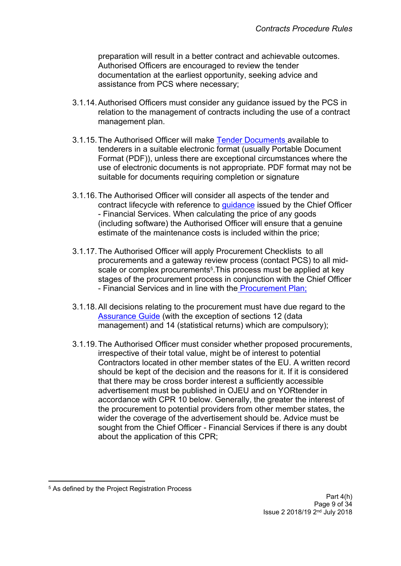preparation will result in a better contract and achievable outcomes. Authorised Officers are encouraged to review the tender documentation at the earliest opportunity, seeking advice and assistance from PCS where necessary;

- 3.1.14.Authorised Officers must consider any guidance issued by the PCS in relation to the management of contracts including the use of a contract management plan.
- 3.1.15.The Authorised Officer will make Tender [Documents](http://insite.leeds.gov.uk/toolkits/Pages/Delivering-a-procurement.aspx) available to tenderers in a suitable electronic format (usually Portable Document Format (PDF)), unless there are exceptional circumstances where the use of electronic documents is not appropriate. PDF format may not be suitable for documents requiring completion or signature
- 3.1.16.The Authorised Officer will consider all aspects of the tender and contract lifecycle with reference to [guidance](http://insite.leeds.gov.uk/PoliciesAndProcedures/Documents/Procurement%20strategy.pdf) issued by the Chief Officer - Financial Services. When calculating the price of any goods (including software) the Authorised Officer will ensure that a genuine estimate of the maintenance costs is included within the price;
- 3.1.17.The Authorised Officer will apply Procurement Checklists to all procurements and a gateway review process (contact PCS) to all midscale or complex procurements<sup>5</sup>. This process must be applied at key stages of the procurement process in conjunction with the Chief Officer - Financial Services and in line with the [Procurement](http://insite.leeds.gov.uk/DoItOnline/Pages/Forms-and-guidance.aspx?cat=Procuring%20and%20managing%20a%20contract) Plan;
- 3.1.18.All decisions relating to the procurement must have due regard to the [Assurance](http://teams.leeds.gov.uk/services/PublicPrivatePartnershipsUnit/constructionandhousing/HOUSING%20LEEDS/06%20-%20EFFECTIVE%20PROC/00-CPRS-STRAT-ASSURANCE%20DOCS/Assurance%20Guide/Assurance%20guide%20word09.02.15.docx) Guide (with the exception of sections 12 (data management) and 14 (statistical returns) which are compulsory);
- 3.1.19.The Authorised Officer must consider whether proposed procurements, irrespective of their total value, might be of interest to potential Contractors located in other member states of the EU. A written record should be kept of the decision and the reasons for it. If it is considered that there may be cross border interest a sufficiently accessible advertisement must be published in OJEU and on YORtender in accordance with CPR 10 below. Generally, the greater the interest of the procurement to potential providers from other member states, the wider the coverage of the advertisement should be. Advice must be sought from the Chief Officer - Financial Services if there is any doubt about the application of this CPR;

<sup>5</sup> As defined by the Project Registration Process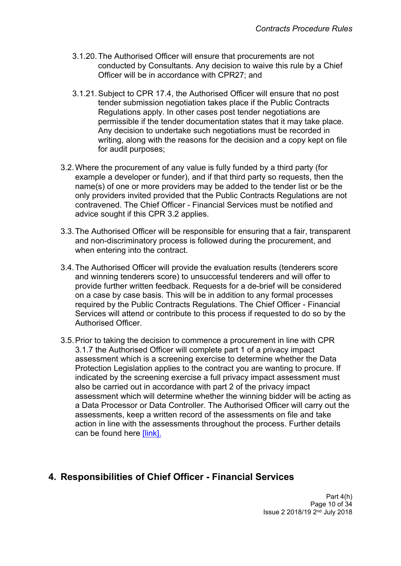- 3.1.20.The Authorised Officer will ensure that procurements are not conducted by Consultants. Any decision to waive this rule by a Chief Officer will be in accordance with CPR27; and
- 3.1.21.Subject to CPR 17.4, the Authorised Officer will ensure that no post tender submission negotiation takes place if the Public Contracts Regulations apply. In other cases post tender negotiations are permissible if the tender documentation states that it may take place. Any decision to undertake such negotiations must be recorded in writing, along with the reasons for the decision and a copy kept on file for audit purposes;
- 3.2.Where the procurement of any value is fully funded by a third party (for example a developer or funder), and if that third party so requests, then the name(s) of one or more providers may be added to the tender list or be the only providers invited provided that the Public Contracts Regulations are not contravened. The Chief Officer - Financial Services must be notified and advice sought if this CPR 3.2 applies.
- 3.3.The Authorised Officer will be responsible for ensuring that a fair, transparent and non-discriminatory process is followed during the procurement, and when entering into the contract.
- 3.4.The Authorised Officer will provide the evaluation results (tenderers score and winning tenderers score) to unsuccessful tenderers and will offer to provide further written feedback. Requests for a de-brief will be considered on a case by case basis. This will be in addition to any formal processes required by the Public Contracts Regulations. The Chief Officer - Financial Services will attend or contribute to this process if requested to do so by the Authorised Officer.
- 3.5.Prior to taking the decision to commence a procurement in line with CPR 3.1.7 the Authorised Officer will complete part 1 of a privacy impact assessment which is a screening exercise to determine whether the Data Protection Legislation applies to the contract you are wanting to procure. If indicated by the screening exercise a full privacy impact assessment must also be carried out in accordance with part 2 of the privacy impact assessment which will determine whether the winning bidder will be acting as a Data Processor or Data Controller. The Authorised Officer will carry out the assessments, keep a written record of the assessments on file and take action in line with the assessments throughout the process. Further details can be found here [\[link\].](http://insite.leeds.gov.uk/toolkits/Pages/Sharing-information.aspx)

# <span id="page-9-0"></span>**4. Responsibilities of Chief Officer - Financial Services**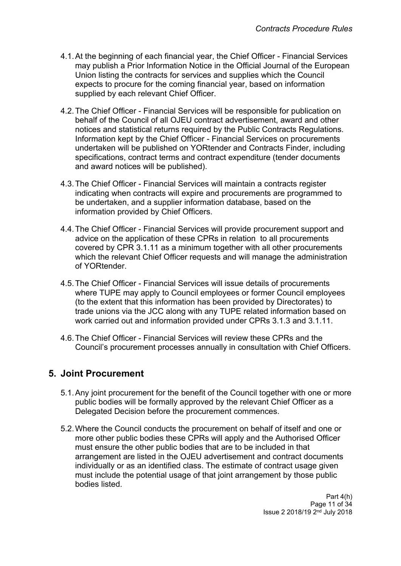- 4.1.At the beginning of each financial year, the Chief Officer Financial Services may publish a Prior Information Notice in the Official Journal of the European Union listing the contracts for services and supplies which the Council expects to procure for the coming financial year, based on information supplied by each relevant Chief Officer.
- 4.2.The Chief Officer Financial Services will be responsible for publication on behalf of the Council of all OJEU contract advertisement, award and other notices and statistical returns required by the Public Contracts Regulations. Information kept by the Chief Officer - Financial Services on procurements undertaken will be published on YORtender and Contracts Finder, including specifications, contract terms and contract expenditure (tender [documents](http://insite.leeds.gov.uk/DoItOnline/Pages/Default.aspx?cat=Procuring%20and%20managing%20a%20contract) and award notices will be published).
- 4.3.The Chief Officer Financial Services will maintain a contracts register indicating when contracts will expire and procurements are programmed to be undertaken, and a supplier information database, based on the information provided by Chief Officers.
- 4.4.The Chief Officer Financial Services will provide procurement support and advice on the application of these CPRs in relation to all procurements covered by CPR 3.1.11 as a minimum together with all other procurements which the relevant Chief Officer requests and will manage the administration of YORtender.
- 4.5.The Chief Officer Financial Services will issue details of procurements where TUPE may apply to Council employees or former Council employees (to the extent that this information has been provided by Directorates) to trade unions via the JCC along with any TUPE related information based on work carried out and information provided under CPRs 3.1.3 and 3.1.11.
- 4.6.The Chief Officer Financial Services will review these CPRs and the Council's procurement processes annually in consultation with Chief Officers.

# <span id="page-10-0"></span>**5. Joint Procurement**

- 5.1.Any joint procurement for the benefit of the Council together with one or more public bodies will be formally approved by the relevant Chief Officer as a Delegated Decision before the procurement commences.
- 5.2.Where the Council conducts the procurement on behalf of itself and one or more other public bodies these CPRs will apply and the Authorised Officer must ensure the other public bodies that are to be included in that arrangement are listed in the OJEU advertisement and contract documents individually or as an identified class. The estimate of contract usage given must include the potential usage of that joint arrangement by those public bodies listed.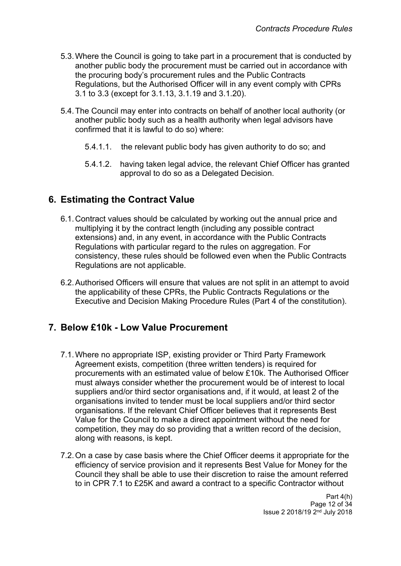- 5.3.Where the Council is going to take part in a procurement that is conducted by another public body the procurement must be carried out in accordance with the procuring body's procurement rules and the Public Contracts Regulations, but the Authorised Officer will in any event comply with CPRs 3.1 to 3.3 (except for 3.1.13, 3.1.19 and 3.1.20).
- 5.4.The Council may enter into contracts on behalf of another local authority (or another public body such as a health authority when legal advisors have confirmed that it is lawful to do so) where:
	- 5.4.1.1. the relevant public body has given authority to do so; and
	- 5.4.1.2. having taken legal advice, the relevant Chief Officer has granted approval to do so as a Delegated Decision.

## <span id="page-11-0"></span>**6. Estimating the Contract Value**

- 6.1.Contract values should be calculated by working out the annual price and multiplying it by the contract length (including any possible contract extensions) and, in any event, in accordance with the Public Contracts Regulations with particular regard to the rules on aggregation. For consistency, these rules should be followed even when the Public Contracts Regulations are not applicable.
- 6.2.Authorised Officers will ensure that values are not split in an attempt to avoid the applicability of these CPRs, the Public Contracts Regulations or the Executive and Decision Making Procedure Rules (Part 4 of the [constitution\).](http://democracy.leeds.gov.uk/ecCatDisplay.aspx?sch=doc&cat=13049&path=13004)

## <span id="page-11-1"></span>**7. Below £10k - Low Value Procurement**

- 7.1.Where no appropriate ISP, existing provider or Third Party Framework Agreement exists, competition (three written tenders) is required for procurements with an estimated value of below £10k. The Authorised Officer must always consider whether the procurement would be of interest to local suppliers and/or third sector organisations and, if it would, at least 2 of the organisations invited to tender must be local suppliers and/or third sector organisations. If the relevant Chief Officer believes that it represents Best Value for the Council to make a direct appointment without the need for competition, they may do so providing that a written record of the decision, along with reasons, is kept.
- 7.2.On a case by case basis where the Chief Officer deems it appropriate for the efficiency of service provision and it represents Best Value for Money for the Council they shall be able to use their discretion to raise the amount referred to in CPR 7.1 to £25K and award a contract to a specific Contractor without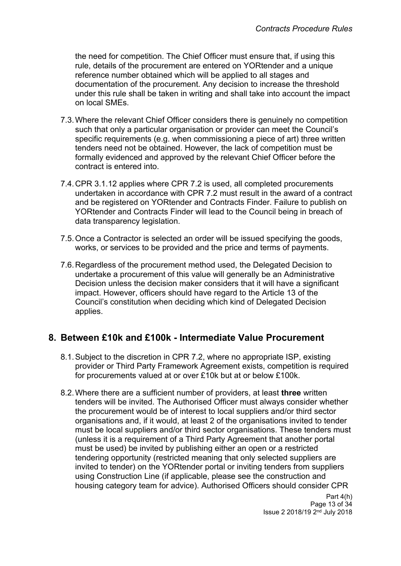the need for competition. The Chief Officer must ensure that, if using this rule, details of the procurement are entered on YORtender and a unique reference number obtained which will be applied to all stages and documentation of the procurement. Any decision to increase the threshold under this rule shall be taken in writing and shall take into account the impact on local SMEs.

- 7.3.Where the relevant Chief Officer considers there is genuinely no competition such that only a particular organisation or provider can meet the Council's specific requirements (e.g. when commissioning a piece of art) three written tenders need not be obtained. However, the lack of competition must be formally evidenced and approved by the relevant Chief Officer before the contract is entered into.
- 7.4.CPR 3.1.12 applies where CPR 7.2 is used, all completed procurements undertaken in accordance with CPR 7.2 must result in the award of a contract and be registered on YORtender and Contracts Finder. Failure to publish on YORtender and Contracts Finder will lead to the Council being in breach of data transparency legislation.
- 7.5.Once a Contractor is selected an order will be issued specifying the goods, works, or services to be provided and the price and terms of payments.
- 7.6.Regardless of the procurement method used, the Delegated Decision to undertake a procurement of this value will generally be an Administrative Decision unless the decision maker considers that it will have a significant impact. However, officers should have regard to the Article 13 of the Council's constitution when deciding which kind of Delegated Decision applies.

## <span id="page-12-0"></span>**8. Between £10k and £100k - Intermediate Value Procurement**

- 8.1.Subject to the discretion in CPR 7.2, where no appropriate ISP, existing provider or Third Party Framework Agreement exists, competition is required for procurements valued at or over £10k but at or below £100k.
- 8.2.Where there are a sufficient number of providers, at least **three** written tenders will be invited. The Authorised Officer must always consider whether the procurement would be of interest to local suppliers and/or third sector organisations and, if it would, at least 2 of the organisations invited to tender must be local suppliers and/or third sector organisations. These tenders must (unless it is a requirement of a Third Party Agreement that another portal must be used) be invited by publishing either an open or a restricted tendering opportunity (restricted meaning that only selected suppliers are invited to tender) on the YORtender portal or inviting tenders from suppliers using Construction Line (if applicable, please see the construction and housing category team for advice). Authorised Officers should consider CPR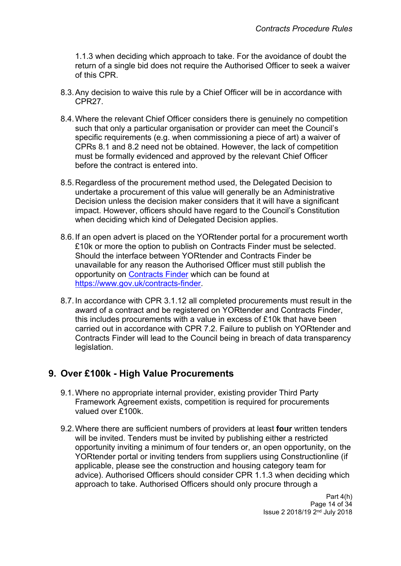1.1.3 when deciding which approach to take. For the avoidance of doubt the return of a single bid does not require the Authorised Officer to seek a waiver of this CPR.

- 8.3.Any decision to waive this rule by a Chief Officer will be in accordance with CPR27.
- 8.4.Where the relevant Chief Officer considers there is genuinely no competition such that only a particular organisation or provider can meet the Council's specific requirements (e.g. when commissioning a piece of art) a waiver of CPRs 8.1 and 8.2 need not be obtained. However, the lack of competition must be formally evidenced and approved by the relevant Chief Officer before the contract is entered into.
- 8.5.Regardless of the procurement method used, the Delegated Decision to undertake a procurement of this value will generally be an Administrative Decision unless the decision maker considers that it will have a significant impact. However, officers should have regard to the Council's Constitution when deciding which kind of Delegated Decision applies.
- 8.6.If an open advert is placed on the YORtender portal for a procurement worth £10k or more the option to publish on Contracts Finder must be selected. Should the interface between YORtender and Contracts Finder be unavailable for any reason the Authorised Officer must still publish the opportunity on [Contracts](https://www.gov.uk/contracts-finder) Finder which can be found at <https://www.gov.uk/contracts-finder>.
- 8.7.In accordance with CPR 3.1.12 all completed procurements must result in the award of a contract and be registered on YORtender and Contracts Finder, this includes procurements with a value in excess of £10k that have been carried out in accordance with CPR 7.2. Failure to publish on YORtender and Contracts Finder will lead to the Council being in breach of data transparency legislation.

## <span id="page-13-0"></span>**9. Over £100k - High Value Procurements**

- 9.1.Where no appropriate internal provider, existing provider Third Party Framework Agreement exists, competition is required for procurements valued over £100k.
- 9.2.Where there are sufficient numbers of providers at least **four** written tenders will be invited. Tenders must be invited by publishing either a restricted opportunity inviting a minimum of four tenders or, an open opportunity, on the YORtender portal or inviting tenders from suppliers using Constructionline (if applicable, please see the construction and housing category team for advice). Authorised Officers should consider CPR 1.1.3 when deciding which approach to take. Authorised Officers should only procure through a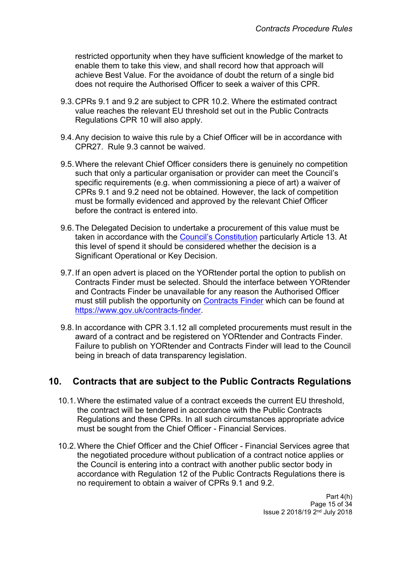restricted opportunity when they have sufficient knowledge of the market to enable them to take this view, and shall record how that approach will achieve Best Value. For the avoidance of doubt the return of a single bid does not require the Authorised Officer to seek a waiver of this CPR.

- 9.3.CPRs 9.1 and 9.2 are subject to CPR 10.2. Where the estimated contract value reaches the relevant EU threshold set out in the Public Contracts Regulations CPR 10 will also apply.
- 9.4.Any decision to waive this rule by a Chief Officer will be in accordance with CPR27. Rule 9.3 cannot be waived.
- 9.5.Where the relevant Chief Officer considers there is genuinely no competition such that only a particular organisation or provider can meet the Council's specific requirements (e.g. when commissioning a piece of art) a waiver of CPRs 9.1 and 9.2 need not be obtained. However, the lack of competition must be formally evidenced and approved by the relevant Chief Officer before the contract is entered into.
- 9.6.The Delegated Decision to undertake a procurement of this value must be taken in accordance with the Council's [Constitution](http://www.leeds.gov.uk/council/Pages/Constitution.aspx) particularly Article 13. At this level of spend it should be considered whether the decision is a Significant Operational or Key Decision.
- 9.7.If an open advert is placed on the YORtender portal the option to publish on Contracts Finder must be selected. Should the interface between YORtender and Contracts Finder be unavailable for any reason the Authorised Officer must still publish the opportunity on [Contracts](https://www.gov.uk/contracts-finder) Finder which can be found at <https://www.gov.uk/contracts-finder>.
- 9.8.In accordance with CPR 3.1.12 all completed procurements must result in the award of a contract and be registered on YORtender and Contracts Finder. Failure to publish on YORtender and Contracts Finder will lead to the Council being in breach of data transparency legislation.

## <span id="page-14-0"></span>**10. Contracts that are subject to the Public Contracts Regulations**

- 10.1.Where the estimated value of a contract exceeds the current EU threshold, the contract will be tendered in accordance with the Public Contracts Regulations and these CPRs. In all such circumstances appropriate advice must be sought from the Chief Officer - Financial Services.
- 10.2.Where the Chief Officer and the Chief Officer Financial Services agree that the negotiated procedure without publication of a contract notice applies or the Council is entering into a contract with another public sector body in accordance with Regulation 12 of the Public Contracts Regulations there is no requirement to obtain a waiver of CPRs 9.1 and 9.2.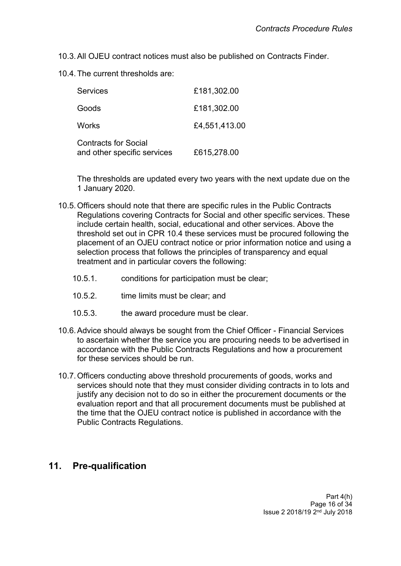- 10.3.All OJEU contract notices must also be published on Contracts Finder.
- 10.4.The current thresholds are:

| <b>Services</b>                                            | £181,302.00   |
|------------------------------------------------------------|---------------|
| Goods                                                      | £181,302.00   |
| Works                                                      | £4,551,413.00 |
| <b>Contracts for Social</b><br>and other specific services | £615,278.00   |

The thresholds are updated every two years with the next update due on the 1 January 2020.

- 10.5.Officers should note that there are specific rules in the Public Contracts Regulations covering Contracts for Social and other specific services. These include certain health, social, educational and other services. Above the threshold set out in CPR 10.4 these services must be procured following the placement of an OJEU contract notice or prior information notice and using a selection process that follows the principles of transparency and equal treatment and in particular covers the following:
	- 10.5.1. conditions for participation must be clear;
	- 10.5.2. time limits must be clear; and
	- 10.5.3. the award procedure must be clear.
- 10.6.Advice should always be sought from the Chief Officer Financial Services to ascertain whether the service you are procuring needs to be advertised in accordance with the Public Contracts Regulations and how a procurement for these services should be run.
- 10.7.Officers conducting above threshold procurements of goods, works and services should note that they must consider dividing contracts in to lots and justify any decision not to do so in either the procurement documents or the evaluation report and that all procurement documents must be published at the time that the OJEU contract notice is published in accordance with the Public Contracts Regulations.

## <span id="page-15-0"></span>**11. Pre-qualification**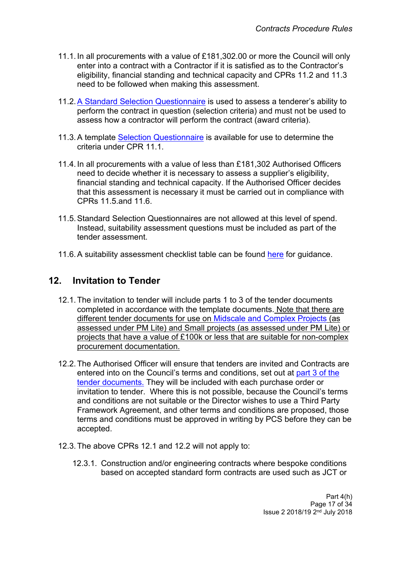- 11.1. In all procurements with a value of £181,302.00 or more the Council will only enter into a contract with a Contractor if it is satisfied as to the Contractor's eligibility, financial standing and technical capacity and CPRs 11.2 and 11.3 need to be followed when making this assessment.
- 11.2.[A](http://insite.leeds.gov.uk/toolkits/Pages/Delivering-a-procurement.aspx) Standard Selection [Questionnaire](http://insite.leeds.gov.uk/DoItOnline/Pages/default.aspx?ItemId=890) is used to assess a tenderer's ability to perform the contract in question (selection criteria) and must not be used to assess how a contractor will perform the contract (award criteria).
- 11.3.A template Selection [Questionnaire](http://insite.leeds.gov.uk/toolkits/Pages/Delivering-a-procurement.aspx) is available for use to determine the criteria under CPR 11.1
- 11.4. In all procurements with a value of less than £181,302 Authorised Officers need to decide whether it is necessary to assess a supplier's eligibility, financial standing and technical capacity. If the Authorised Officer decides that this assessment is necessary it must be carried out in compliance with CPRs 11.5.and 11.6.
- 11.5.Standard Selection Questionnaires are not allowed at this level of spend. Instead, suitability assessment questions must be included as part of the tender assessment.
- 11.6. A suitability assessment checklist table can be found [here](http://insite.leeds.gov.uk/Root%20document%20library/Below%20threshold%20suitability%20assessment%20(replacing%20PQQ)%20guidance%20V2.0%20FINAL%2009.09.2015.pdf) for quidance.

#### <span id="page-16-0"></span>**12. Invitation to Tender**

- 12.1.The invitation to tender will include parts 1 to 3 of the tender documents completed in accordance with the template documents. Note that there are different tender documents for use on [Midscale](http://insite.leeds.gov.uk/toolkits/Pages/Delivering-a-procurement.aspx) and Complex Projects (as assessed under PM Lite) and Small projects (as assessed under PM Lite) or projects that have a value of £100k or less that are suitable for non-complex procurement documentation.
- 12.2.The Authorised Officer will ensure that tenders are invited and Contracts are entered into on the Council's terms and conditions, set out at [part](http://insite.leeds.gov.uk/toolkits/Pages/Delivering-a-procurement.aspx) 3 of the tender [documents.](http://insite.leeds.gov.uk/toolkits/Pages/Delivering-a-procurement.aspx) They will be included with each purchase order or invitation to tender. Where this is not possible, because the Council's terms and conditions are not suitable or the Director wishes to use a Third Party Framework Agreement, and other terms and conditions are proposed, those terms and conditions must be approved in writing by PCS before they can be accepted.
- 12.3.The above CPRs 12.1 and 12.2 will not apply to:
	- 12.3.1. Construction and/or engineering contracts where bespoke conditions based on accepted standard form contracts are used such as JCT or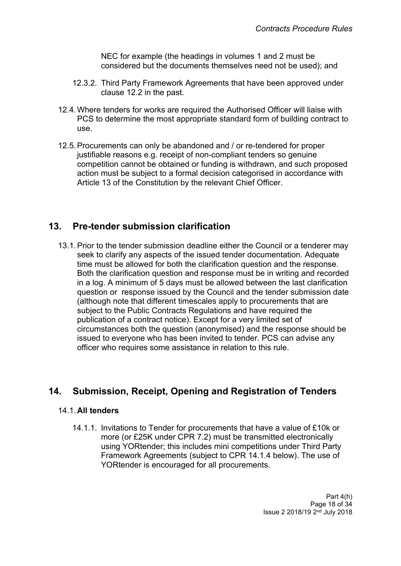NEC for example (the headings in volumes 1 and 2 must be considered but the documents themselves need not be used); and

- 12.3.2. Third Party Framework Agreements that have been approved under clause 12.2 in the past.
- 12.4.Where tenders for works are required the Authorised Officer will liaise with PCS to determine the most appropriate standard form of building contract to use.
- 12.5.Procurements can only be abandoned and / or re-tendered for proper justifiable reasons e.g. receipt of non-compliant tenders so genuine competition cannot be obtained or funding is withdrawn, and such proposed action must be subject to a formal decision categorised in accordance with Article 13 of the Constitution by the relevant Chief Officer.

## <span id="page-17-0"></span>**13. Pre-tender submission clarification**

13.1.Prior to the tender submission deadline either the Council or a tenderer may seek to clarify any aspects of the issued tender documentation. Adequate time must be allowed for both the clarification question and the response. Both the clarification question and response must be in writing and recorded in a log. A minimum of 5 days must be allowed between the last clarification question or response issued by the Council and the tender submission date (although note that different timescales apply to procurements that are subject to the Public Contracts Regulations and have required the publication of a contract notice). Except for a very limited set of circumstances both the question (anonymised) and the response should be issued to everyone who has been invited to tender. PCS can advise any officer who requires some assistance in relation to this rule.

## <span id="page-17-1"></span>**14. Submission, Receipt, Opening and Registration of Tenders**

#### 14.1.**All tenders**

14.1.1. Invitations to Tender for procurements that have a value of £10k or more (or £25K under CPR 7.2) must be transmitted electronically using YORtender; this includes mini competitions under Third Party Framework Agreements (subject to CPR 14.1.4 below). The use of YORtender is encouraged for all procurements.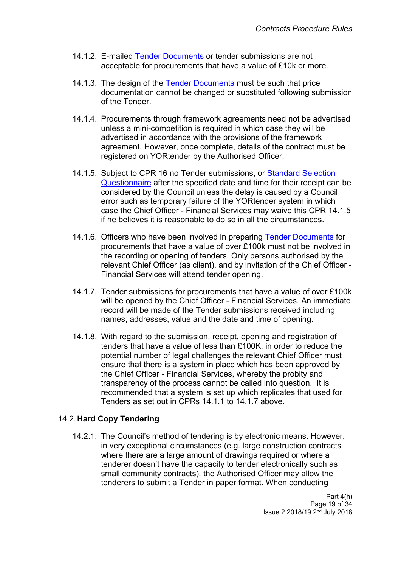- 14.1.2. E-mailed Tender [Documents](http://insite.leeds.gov.uk/toolkits/Pages/Delivering-a-procurement.aspx) or tender submissions are not acceptable for procurements that have a value of £10k or more.
- 14.1.3. The design of the Tender [Documents](http://insite.leeds.gov.uk/DoItOnline/Pages/Default.aspx?cat=Procuring%20and%20managing%20a%20contract) must be such that price documentation cannot be changed or substituted following submission of the Tender.
- 14.1.4. Procurements through framework agreements need not be advertised unless a mini-competition is required in which case they will be advertised in accordance with the provisions of the framework agreement. However, once complete, details of the contract must be registered on YORtender by the Authorised Officer.
- 14.1.5. Subject to CPR 16 no Tender submissions, or Standard [Selection](http://insite.leeds.gov.uk/DoItOnline/Pages/default.aspx?ItemId=890) [Questionnaire](http://insite.leeds.gov.uk/DoItOnline/Pages/default.aspx?ItemId=890) after the specified date and time for their receipt can be considered by the Council unless the delay is caused by a Council error such as temporary failure of the YORtender system in which case the Chief Officer - Financial Services may waive this CPR 14.1.5 if he believes it is reasonable to do so in all the circumstances.
- 14.1.6. Officers who have been involved in preparing Tender [Documents](http://insite.leeds.gov.uk/toolkits/Pages/Delivering-a-procurement.aspx) for procurements that have a value of over £100k must not be involved in the recording or opening of tenders. Only persons authorised by the relevant Chief Officer (as client), and by invitation of the Chief Officer - Financial Services will attend tender opening.
- 14.1.7. Tender submissions for procurements that have a value of over £100k will be opened by the Chief Officer - Financial Services. An immediate record will be made of the Tender submissions received including names, addresses, value and the date and time of opening.
- 14.1.8. With regard to the submission, receipt, opening and registration of tenders that have a value of less than £100K, in order to reduce the potential number of legal challenges the relevant Chief Officer must ensure that there is a system in place which has been approved by the Chief Officer - Financial Services, whereby the probity and transparency of the process cannot be called into question. It is recommended that a system is set up which replicates that used for Tenders as set out in CPRs 14.1.1 to 14.1.7 above.

#### 14.2.**Hard Copy Tendering**

14.2.1. The Council's method of tendering is by electronic means. However, in very exceptional circumstances (e.g. large construction contracts where there are a large amount of drawings required or where a tenderer doesn't have the capacity to tender electronically such as small community contracts), the Authorised Officer may allow the tenderers to submit a Tender in paper format. When conducting

> Part 4(h) Page 19 of 34 Issue 2 2018/19 2<sup>nd</sup> July 2018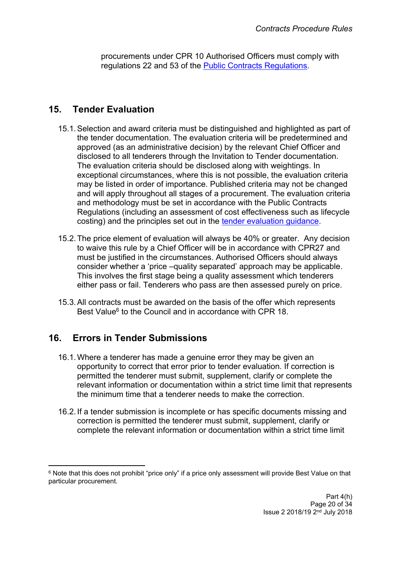procurements under CPR 10 Authorised Officers must comply with regulations 22 and 53 of the Public Contracts [Regulations](http://www.legislation.gov.uk/uksi/2015/102/contents/made).

# <span id="page-19-0"></span>**15. Tender Evaluation**

- 15.1.Selection and award criteria must be distinguished and highlighted as part of the tender documentation. The evaluation criteria will be predetermined and approved (as an administrative decision) by the relevant Chief Officer and disclosed to all tenderers through the Invitation to Tender documentation. The evaluation criteria should be disclosed along with weightings. In exceptional circumstances, where this is not possible, the evaluation criteria may be listed in order of importance. Published criteria may not be changed and will apply throughout all stages of a procurement. The evaluation criteria and methodology must be set in accordance with the Public Contracts Regulations (including an assessment of cost effectiveness such as lifecycle costing) and the principles set out in the tender [evaluation](http://insite.leeds.gov.uk/Root%20document%20library/Tender%20evaluation%20guidance.pdf) guidance.
- 15.2.The price element of evaluation will always be 40% or greater. Any decision to waive this rule by a Chief Officer will be in accordance with CPR27 and must be justified in the circumstances. Authorised Officers should always consider whether a 'price –quality separated' approach may be applicable. This involves the first stage being a quality assessment which tenderers either pass or fail. Tenderers who pass are then assessed purely on price.
- 15.3.All contracts must be awarded on the basis of the offer which represents Best Value<sup>6</sup> to the Council and in accordance with CPR 18.

# <span id="page-19-1"></span>**16. Errors in Tender Submissions**

- 16.1.Where a tenderer has made a genuine error they may be given an opportunity to correct that error prior to tender evaluation. If correction is permitted the tenderer must submit, supplement, clarify or complete the relevant information or documentation within a strict time limit that represents the minimum time that a tenderer needs to make the correction.
- 16.2. If a tender submission is incomplete or has specific documents missing and correction is permitted the tenderer must submit, supplement, clarify or complete the relevant information or documentation within a strict time limit

<sup>&</sup>lt;sup>6</sup> Note that this does not prohibit "price only" if a price only assessment will provide Best Value on that particular procurement.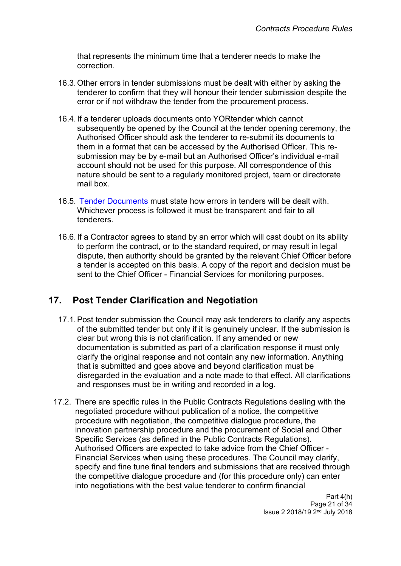that represents the minimum time that a tenderer needs to make the correction.

- 16.3.Other errors in tender submissions must be dealt with either by asking the tenderer to confirm that they will honour their tender submission despite the error or if not withdraw the tender from the procurement process.
- 16.4. If a tenderer uploads documents onto YORtender which cannot subsequently be opened by the Council at the tender opening ceremony, the Authorised Officer should ask the tenderer to re-submit its documents to them in a format that can be accessed by the Authorised Officer. This resubmission may be by e-mail but an Authorised Officer's individual e-mail account should not be used for this purpose. All correspondence of this nature should be sent to a regularly monitored project, team or directorate mail box.
- 16.5. Tender [Documents](http://insite.leeds.gov.uk/toolkits/Pages/Delivering-a-procurement.aspx) must state how errors in tenders will be dealt with. Whichever process is followed it must be transparent and fair to all tenderers.
- 16.6. If a Contractor agrees to stand by an error which will cast doubt on its ability to perform the contract, or to the standard required, or may result in legal dispute, then authority should be granted by the relevant Chief Officer before a tender is accepted on this basis. A copy of the report and decision must be sent to the Chief Officer - Financial Services for monitoring purposes.

## <span id="page-20-0"></span>**17. Post Tender Clarification and Negotiation**

- 17.1.Post tender submission the Council may ask tenderers to clarify any aspects of the submitted tender but only if it is genuinely unclear. If the submission is clear but wrong this is not clarification. If any amended or new documentation is submitted as part of a clarification response it must only clarify the original response and not contain any new information. Anything that is submitted and goes above and beyond clarification must be disregarded in the evaluation and a note made to that effect. All clarifications and responses must be in writing and recorded in a log.
- 17.2. There are specific rules in the Public Contracts Regulations dealing with the negotiated procedure without publication of a notice, the competitive procedure with negotiation, the competitive dialogue procedure, the innovation partnership procedure and the procurement of Social and Other Specific Services (as defined in the Public Contracts Regulations). Authorised Officers are expected to take advice from the Chief Officer - Financial Services when using these procedures. The Council may clarify, specify and fine tune final tenders and submissions that are received through the competitive dialogue procedure and (for this procedure only) can enter into negotiations with the best value tenderer to confirm financial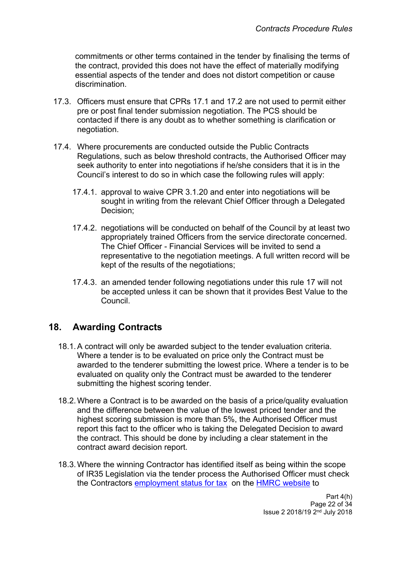commitments or other terms contained in the tender by finalising the terms of the contract, provided this does not have the effect of materially modifying essential aspects of the tender and does not distort competition or cause discrimination.

- 17.3. Officers must ensure that CPRs 17.1 and 17.2 are not used to permit either pre or post final tender submission negotiation. The PCS should be contacted if there is any doubt as to whether something is clarification or negotiation.
- 17.4. Where procurements are conducted outside the Public Contracts Regulations, such as below threshold contracts, the Authorised Officer may seek authority to enter into negotiations if he/she considers that it is in the Council's interest to do so in which case the following rules will apply:
	- 17.4.1. approval to waive CPR 3.1.20 and enter into negotiations will be sought in writing from the relevant Chief Officer through a Delegated Decision;
	- 17.4.2. negotiations will be conducted on behalf of the Council by at least two appropriately trained Officers from the service directorate concerned. The Chief Officer - Financial Services will be invited to send a representative to the negotiation meetings. A full written record will be kept of the results of the negotiations;
	- 17.4.3. an amended tender following negotiations under this rule 17 will not be accepted unless it can be shown that it provides Best Value to the Council.

## <span id="page-21-0"></span>**18. Awarding Contracts**

- 18.1.A contract will only be awarded subject to the tender evaluation criteria. Where a tender is to be evaluated on price only the Contract must be awarded to the tenderer submitting the lowest price. Where a tender is to be evaluated on quality only the Contract must be awarded to the tenderer submitting the highest scoring tender.
- 18.2.Where a Contract is to be awarded on the basis of a price/quality evaluation and the difference between the value of the lowest priced tender and the highest scoring submission is more than 5%, the Authorised Officer must report this fact to the officer who is taking the Delegated Decision to award the contract. This should be done by including a clear statement in the contract award decision report.
- 18.3.Where the winning Contractor has identified itself as being within the scope of IR35 Legislation via the tender process the Authorised Officer must check the Contractors [employment](https://www.gov.uk/guidance/check-employment-status-for-tax) status for tax on the HMRC [website](https://www.gov.uk/guidance/check-employment-status-for-tax) to

Part 4(h) Page 22 of 34 Issue 2 2018/19 2<sup>nd</sup> July 2018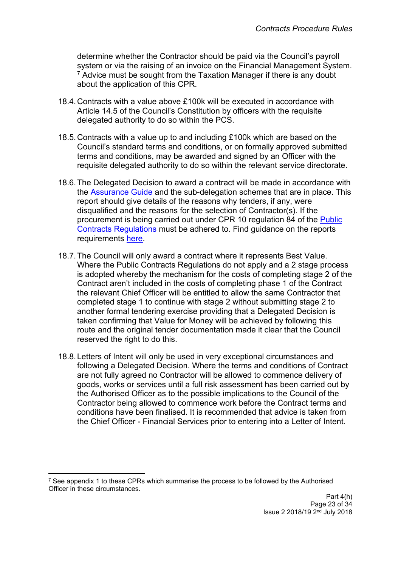determine whether the Contractor should be paid via the Council's payroll system or via the raising of an invoice on the Financial Management System.  $<sup>7</sup>$  Advice must be sought from the Taxation Manager if there is any doubt</sup> about the application of this CPR.

- 18.4.Contracts with a value above £100k will be executed in accordance with Article 14.5 of the Council's Constitution by officers with the requisite delegated authority to do so within the PCS.
- 18.5.Contracts with a value up to and including £100k which are based on the Council's standard terms and conditions, or on formally approved submitted terms and conditions, may be awarded and signed by an Officer with the requisite delegated authority to do so within the relevant service directorate.
- 18.6.The Delegated Decision to award a contract will be made in accordance with the [Assurance](http://teams.leeds.gov.uk/services/PublicPrivatePartnershipsUnit/constructionandhousing/HOUSING%20LEEDS/06%20-%20EFFECTIVE%20PROC/00-CPRS-STRAT-ASSURANCE%20DOCS/Assurance%20Guide/Assurance%20guide%20word09.02.15.docx) Guide and the sub-delegation schemes that are in place. This report should give details of the reasons why tenders, if any, were disqualified and the reasons for the selection of Contractor(s). If the procurement is being carried out under CPR 10 regulation 84 of the [Public](http://www.legislation.gov.uk/uksi/2015/102/contents/made) Contracts [Regulations](http://www.legislation.gov.uk/uksi/2015/102/contents/made) must be adhered to. Find guidance on the reports requirements [here.](http://insite.leeds.gov.uk/DoItOnline/Do%20it%20online%20forms/Tender%20report%20guidance%20V2%200%20PUBLISH.docx)
- 18.7.The Council will only award a contract where it represents Best Value. Where the Public Contracts Regulations do not apply and a 2 stage process is adopted whereby the mechanism for the costs of completing stage 2 of the Contract aren't included in the costs of completing phase 1 of the Contract the relevant Chief Officer will be entitled to allow the same Contractor that completed stage 1 to continue with stage 2 without submitting stage 2 to another formal tendering exercise providing that a Delegated Decision is taken confirming that Value for Money will be achieved by following this route and the original tender documentation made it clear that the Council reserved the right to do this.
- 18.8. Letters of Intent will only be used in very exceptional circumstances and following a Delegated Decision. Where the terms and conditions of Contract are not fully agreed no Contractor will be allowed to commence delivery of goods, works or services until a full risk assessment has been carried out by the Authorised Officer as to the possible implications to the Council of the Contractor being allowed to commence work before the Contract terms and conditions have been finalised. It is recommended that advice is taken from the Chief Officer - Financial Services prior to entering into a Letter of Intent.

<sup>7</sup> See appendix 1 to these CPRs which summarise the process to be followed by the Authorised Officer in these circumstances.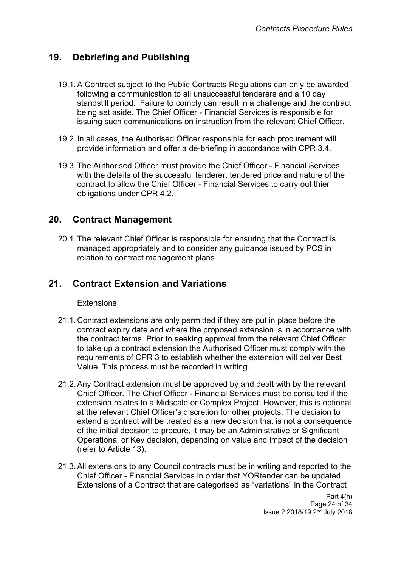# <span id="page-23-0"></span>**19. Debriefing and Publishing**

- 19.1.A Contract subject to the Public Contracts Regulations can only be awarded following a communication to all unsuccessful tenderers and a 10 day standstill period. Failure to comply can result in a challenge and the contract being set aside. The Chief Officer - Financial Services is responsible for issuing such communications on instruction from the relevant Chief Officer.
- 19.2. In all cases, the Authorised Officer responsible for each procurement will provide information and offer a de-briefing in accordance with CPR 3.4.
- 19.3.The Authorised Officer must provide the Chief Officer Financial Services with the details of the successful tenderer, tendered price and nature of the contract to allow the Chief Officer - Financial Services to carry out thier obligations under CPR 4.2.

## <span id="page-23-1"></span>**20. Contract Management**

20.1.The relevant Chief Officer is responsible for ensuring that the Contract is managed appropriately and to consider any guidance issued by PCS in relation to contract management plans.

## <span id="page-23-2"></span>**21. Contract Extension and Variations**

#### Extensions

- 21.1.Contract extensions are only permitted if they are put in place before the contract expiry date and where the proposed extension is in accordance with the contract terms. Prior to seeking approval from the relevant Chief Officer to take up a contract extension the Authorised Officer must comply with the requirements of CPR 3 to establish whether the extension will deliver Best Value. This process must be recorded in writing.
- 21.2.Any Contract extension must be approved by and dealt with by the relevant Chief Officer. The Chief Officer - Financial Services must be consulted if the extension relates to a Midscale or Complex Project. However, this is optional at the relevant Chief Officer's discretion for other projects. The decision to extend a contract will be treated as a new decision that is not a consequence of the initial decision to procure, it may be an Administrative or Significant Operational or Key decision, depending on value and impact of the decision (refer to Article 13).
- 21.3.All extensions to any Council contracts must be in writing and reported to the Chief Officer - Financial Services in order that YORtender can be updated. Extensions of a Contract that are categorised as "variations" in the Contract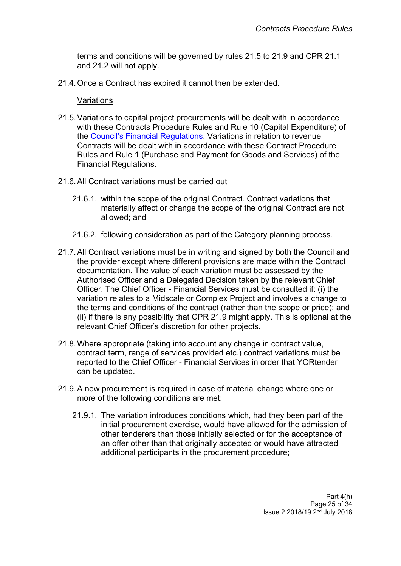terms and conditions will be governed by rules 21.5 to 21.9 and CPR 21.1 and 21.2 will not apply.

21.4.Once a Contract has expired it cannot then be extended.

#### Variations

- 21.5.Variations to capital project procurements will be dealt with in accordance with these Contracts Procedure Rules and Rule 10 (Capital Expenditure) of the Council's Financial [Regulations](http://democracy.leeds.gov.uk/documents/s113265/financial%20regulations.pdf). Variations in relation to revenue Contracts will be dealt with in accordance with these Contract Procedure Rules and Rule 1 (Purchase and Payment for Goods and Services) of the Financial Regulations.
- 21.6.All Contract variations must be carried out
	- 21.6.1. within the scope of the original Contract. Contract variations that materially affect or change the scope of the original Contract are not allowed; and
	- 21.6.2. following consideration as part of the Category planning process.
- 21.7.All Contract variations must be in writing and signed by both the Council and the provider except where different provisions are made within the Contract documentation. The value of each variation must be assessed by the Authorised Officer and a Delegated Decision taken by the relevant Chief Officer. The Chief Officer - Financial Services must be consulted if: (i) the variation relates to a Midscale or Complex Project and involves a change to the terms and conditions of the contract (rather than the scope or price); and (ii) if there is any possibility that CPR 21.9 might apply. This is optional at the relevant Chief Officer's discretion for other projects.
- 21.8.Where appropriate (taking into account any change in contract value, contract term, range of services provided etc.) contract variations must be reported to the Chief Officer - Financial Services in order that YORtender can be updated.
- 21.9.A new procurement is required in case of material change where one or more of the following conditions are met:
	- 21.9.1. The variation introduces conditions which, had they been part of the initial procurement exercise, would have allowed for the admission of other tenderers than those initially selected or for the acceptance of an offer other than that originally accepted or would have attracted additional participants in the procurement procedure;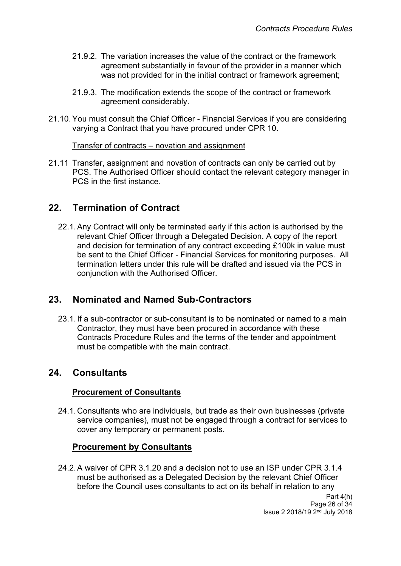- 21.9.2. The variation increases the value of the contract or the framework agreement substantially in favour of the provider in a manner which was not provided for in the initial contract or framework agreement;
- 21.9.3. The modification extends the scope of the contract or framework agreement considerably.
- 21.10. You must consult the Chief Officer Financial Services if you are considering varying a Contract that you have procured under CPR 10.

#### Transfer of contracts – novation and assignment

21.11 Transfer, assignment and novation of contracts can only be carried out by PCS. The Authorised Officer should contact the relevant category manager in PCS in the first instance.

#### <span id="page-25-0"></span>**22. Termination of Contract**

22.1.Any Contract will only be terminated early if this action is authorised by the relevant Chief Officer through a Delegated Decision. A copy of the report and decision for termination of any contract exceeding £100k in value must be sent to the Chief Officer - Financial Services for monitoring purposes. All termination letters under this rule will be drafted and issued via the PCS in conjunction with the Authorised Officer.

#### <span id="page-25-1"></span>**23. Nominated and Named Sub-Contractors**

23.1. If a sub-contractor or sub-consultant is to be nominated or named to a main Contractor, they must have been procured in accordance with these Contracts Procedure Rules and the terms of the tender and appointment must be compatible with the main contract.

#### <span id="page-25-2"></span>**24. Consultants**

#### **Procurement of Consultants**

24.1.Consultants who are individuals, but trade as their own businesses (private service companies), must not be engaged through a contract for services to cover any temporary or permanent posts.

#### **Procurement by Consultants**

24.2.A waiver of CPR 3.1.20 and a decision not to use an ISP under CPR 3.1.4 must be authorised as a Delegated Decision by the relevant Chief Officer before the Council uses consultants to act on its behalf in relation to any

> Part 4(h) Page 26 of 34 Issue 2 2018/19 2<sup>nd</sup> July 2018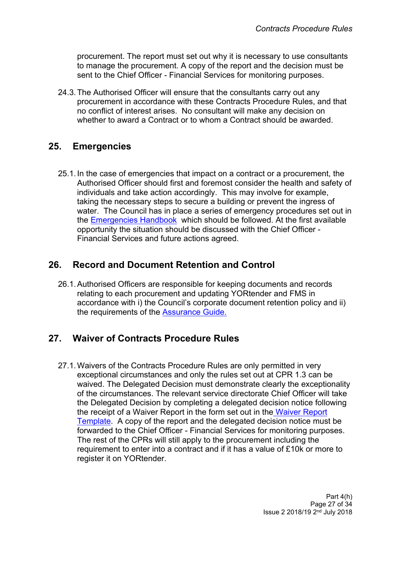procurement. The report must set out why it is necessary to use consultants to manage the procurement. A copy of the report and the decision must be sent to the Chief Officer - Financial Services for monitoring purposes.

24.3.The Authorised Officer will ensure that the consultants carry out any procurement in accordance with these Contracts Procedure Rules, and that no conflict of interest arises. No consultant will make any decision on whether to award a Contract or to whom a Contract should be awarded.

## <span id="page-26-0"></span>**25. Emergencies**

25.1. In the case of emergencies that impact on a contract or a procurement, the Authorised Officer should first and foremost consider the health and safety of individuals and take action accordingly. This may involve for example, taking the necessary steps to secure a building or prevent the ingress of water. The Council has in place a series of emergency procedures set out in the [Emergencies](http://insite.leeds.gov.uk/Root%20document%20library/2.%20Emergencies%20Handbook.pdf) Handbook which should be followed. At the first available opportunity the situation should be discussed with the Chief Officer - Financial Services and future actions agreed.

# <span id="page-26-1"></span>**26. Record and Document Retention and Control**

26.1.Authorised Officers are responsible for keeping documents and records relating to each procurement and updating YORtender and FMS in accordance with i) the Council's corporate document retention policy and ii) the requirements of the [Assurance](http://teams.leeds.gov.uk/services/PublicPrivatePartnershipsUnit/constructionandhousing/HOUSING%20LEEDS/06%20-%20EFFECTIVE%20PROC/00-CPRS-STRAT-ASSURANCE%20DOCS/Assurance%20Guide/Assurance%20guide%20word09.02.15.docx) Guide.

# <span id="page-26-2"></span>**27. Waiver of Contracts Procedure Rules**

27.1.Waivers of the Contracts Procedure Rules are only permitted in very exceptional circumstances and only the rules set out at CPR 1.3 can be waived. The Delegated Decision must demonstrate clearly the exceptionality of the circumstances. The relevant service directorate Chief Officer will take the Delegated Decision by completing a delegated decision notice following the receipt of a Waiver Report in the form set out in the [Waiver](http://insite.leeds.gov.uk/DoItOnline/Do%20it%20online%20forms/Waiver%20report%20guidance%20V3%200%20PUBLISH.docx) Report [Template.](http://insite.leeds.gov.uk/DoItOnline/Do%20it%20online%20forms/Waiver%20report%20guidance%20V3%200%20PUBLISH.docx) A copy of the report and the delegated decision notice must be forwarded to the Chief Officer - Financial Services for monitoring purposes. The rest of the CPRs will still apply to the procurement including the requirement to enter into a contract and if it has a value of £10k or more to register it on YORtender.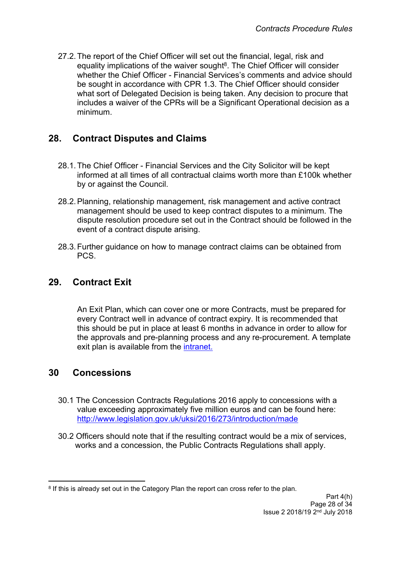27.2.The report of the Chief Officer will set out the financial, legal, risk and equality implications of the waiver sought<sup>8</sup>. The Chief Officer will consider whether the Chief Officer - Financial Services's comments and advice should be sought in accordance with CPR 1.3. The Chief Officer should consider what sort of Delegated Decision is being taken. Any decision to procure that includes a waiver of the CPRs will be a Significant Operational decision as a minimum.

## <span id="page-27-0"></span>**28. Contract Disputes and Claims**

- 28.1.The Chief Officer Financial Services and the City Solicitor will be kept informed at all times of all contractual claims worth more than £100k whether by or against the Council.
- 28.2.Planning, relationship management, risk management and active contract management should be used to keep contract disputes to a minimum. The dispute resolution procedure set out in the Contract should be followed in the event of a contract dispute arising.
- 28.3.Further guidance on how to manage contract claims can be obtained from PCS.

# <span id="page-27-1"></span>**29. Contract Exit**

An Exit Plan, which can cover one or more Contracts, must be prepared for every Contract well in advance of contract expiry. It is recommended that this should be put in place at least 6 months in advance in order to allow for the approvals and pre-planning process and any re-procurement. A template exit plan is available from the [intranet.](http://insite.leeds.gov.uk/DoItOnline/Pages/Forms-and-guidance.aspx?cat=Procuring%20and%20managing%20a%20contract)

## <span id="page-27-2"></span>**30 Concessions**

- 30.1 The Concession Contracts Regulations 2016 apply to concessions with a value exceeding approximately five million euros and can be found here: <http://www.legislation.gov.uk/uksi/2016/273/introduction/made>
- 30.2 Officers should note that if the resulting contract would be a mix of services, works and a concession, the Public Contracts Regulations shall apply.

<sup>&</sup>lt;sup>8</sup> If this is already set out in the Category Plan the report can cross refer to the plan.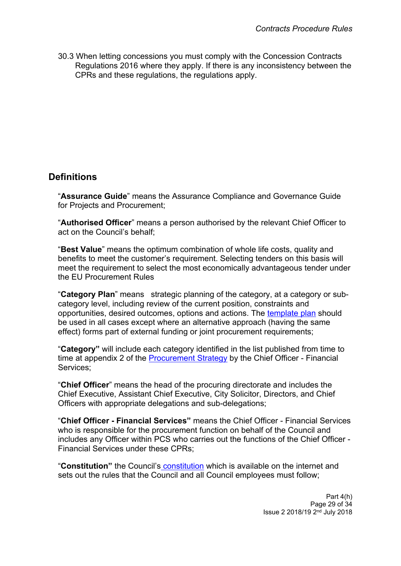30.3 When letting concessions you must comply with the Concession Contracts Regulations 2016 where they apply. If there is any inconsistency between the CPRs and these regulations, the regulations apply.

# <span id="page-28-0"></span>**Definitions**

"**Assurance Guide**" means the Assurance Compliance and Governance Guide for Projects and Procurement;

"**Authorised Officer**" means a person authorised by the relevant Chief Officer to act on the Council's behalf;

"**Best Value**" means the optimum combination of whole life costs, quality and benefits to meet the customer's requirement. Selecting tenders on this basis will meet the requirement to select the most economically advantageous tender under the EU Procurement Rules

"**Category Plan**" means strategic planning of the category, at a category or subcategory level, including review of the current position, constraints and opportunities, desired outcomes, options and actions. The [template](http://insite.leeds.gov.uk/DoItOnline/Pages/default.aspx?cat=Procuring%20and%20managing%20a%20contract) plan should be used in all cases except where an alternative approach (having the same effect) forms part of external funding or joint procurement requirements;

"**Category"** will include each category identified in the list published from time to time at appendix 2 of the [Procurement](http://www.leeds.gov.uk/docs/Procurement%20Strategy%20V1.0%20PUBLISH%2030.09.2013.pdf) Strategy by the Chief Officer - Financial Services;

"**Chief Officer**" means the head of the procuring directorate and includes the Chief Executive, Assistant Chief Executive, City Solicitor, Directors, and Chief Officers with appropriate delegations and sub-delegations;

"**Chief Officer - Financial Services"** means the Chief Officer - Financial Services who is responsible for the procurement function on behalf of the Council and includes any Officer within PCS who carries out the functions of the Chief Officer - Financial Services under these CPRs;

"**Constitution"** the Council's [constitution](http://www.leeds.gov.uk/council/Pages/Constitution.aspx) which is available on the internet and sets out the rules that the Council and all Council employees must follow;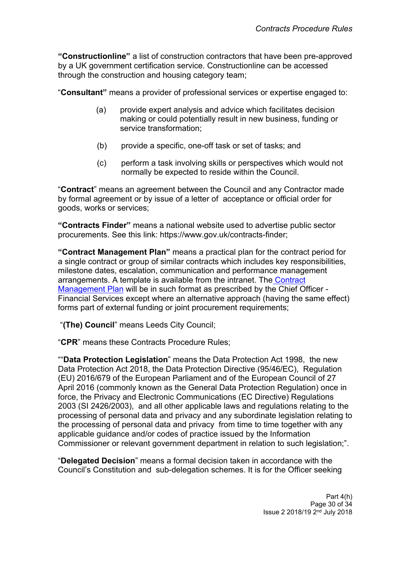**"Constructionline"** a list of construction contractors that have been pre-approved by a UK government certification service. Constructionline can be accessed through the construction and housing category team;

"**Consultant"** means a provider of professional services or expertise engaged to:

- (a) provide expert analysis and advice which facilitates decision making or could potentially result in new business, funding or service transformation;
- (b) provide a specific, one-off task or set of tasks; and
- (c) perform a task involving skills or perspectives which would not normally be expected to reside within the Council.

"**Contract**" means an agreement between the Council and any Contractor made by formal agreement or by issue of a letter of acceptance or official order for goods, works or services;

**"Contracts Finder"** means a national website used to advertise public sector procurements. See this link: https://www.gov.uk/contracts-finder;

**"Contract Management Plan"** means a practical plan for the contract period for a single contract or group of similar contracts which includes key responsibilities, milestone dates, escalation, communication and performance management arrangements. A template is available from the intranet. The [Contract](http://insite.leeds.gov.uk/DoItOnline/Pages/default.aspx?cat=Procuring%20and%20managing%20a%20contract) [Management](http://insite.leeds.gov.uk/DoItOnline/Pages/default.aspx?cat=Procuring%20and%20managing%20a%20contract) Plan will be in such format as prescribed by the Chief Officer - Financial Services except where an alternative approach (having the same effect) forms part of external funding or joint procurement requirements;

"**(The) Council**" means Leeds City Council;

"**CPR**" means these Contracts Procedure Rules;

""**Data Protection Legislation**" means the Data Protection Act 1998, the new Data Protection Act 2018, the Data Protection Directive (95/46/EC), Regulation (EU) 2016/679 of the European Parliament and of the European Council of 27 April 2016 (commonly known as the General Data Protection Regulation) once in force, the Privacy and Electronic Communications (EC Directive) Regulations 2003 (SI 2426/2003), and all other applicable laws and regulations relating to the processing of personal data and privacy and any subordinate legislation relating to the processing of personal data and privacy from time to time together with any applicable guidance and/or codes of practice issued by the Information Commissioner or relevant government department in relation to such legislation;".

"**Delegated Decision**" means a formal decision taken in accordance with the Council's Constitution and sub-delegation schemes. It is for the Officer seeking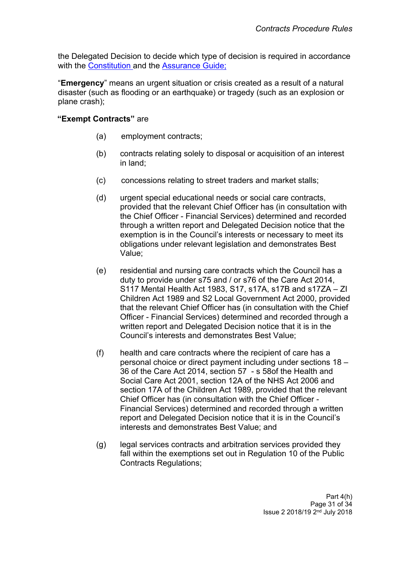the Delegated Decision to decide which type of decision is required in accordance with the [Constitution](http://www.leeds.gov.uk/council/Pages/Constitution.aspx) and the [Assurance](http://teams.leeds.gov.uk/services/PublicPrivatePartnershipsUnit/constructionandhousing/HOUSING%20LEEDS/06%20-%20EFFECTIVE%20PROC/00-CPRS-STRAT-ASSURANCE%20DOCS/Assurance%20Guide/Assurance%20guide%20word09.02.15.docx) Guide;

"**Emergency**" means an urgent situation or crisis created as a result of a natural disaster (such as flooding or an earthquake) or tragedy (such as an explosion or plane crash);

#### **"Exempt Contracts"** are

- (a) employment contracts;
- (b) contracts relating solely to disposal or acquisition of an interest in land;
- (c) concessions relating to street traders and market stalls;
- (d) urgent special educational needs or social care contracts, provided that the relevant Chief Officer has (in consultation with the Chief Officer - Financial Services) determined and recorded through a written report and Delegated Decision notice that the exemption is in the Council's interests or necessary to meet its obligations under relevant legislation and demonstrates Best Value;
- (e) residential and nursing care contracts which the Council has a duty to provide under s75 and / or s76 of the Care Act 2014, S117 Mental Health Act 1983, S17, s17A, s17B and s17ZA – ZI Children Act 1989 and S2 Local Government Act 2000, provided that the relevant Chief Officer has (in consultation with the Chief Officer - Financial Services) determined and recorded through a written report and Delegated Decision notice that it is in the Council's interests and demonstrates Best Value;
- (f) health and care contracts where the recipient of care has a personal choice or direct payment including under sections 18 – 36 of the Care Act 2014, section 57 - s 58of the Health and Social Care Act 2001, section 12A of the NHS Act 2006 and section 17A of the Children Act 1989, provided that the relevant Chief Officer has (in consultation with the Chief Officer - Financial Services) determined and recorded through a written report and Delegated Decision notice that it is in the Council's interests and demonstrates Best Value; and
- (g) legal services contracts and arbitration services provided they fall within the exemptions set out in Regulation 10 of the Public Contracts Regulations;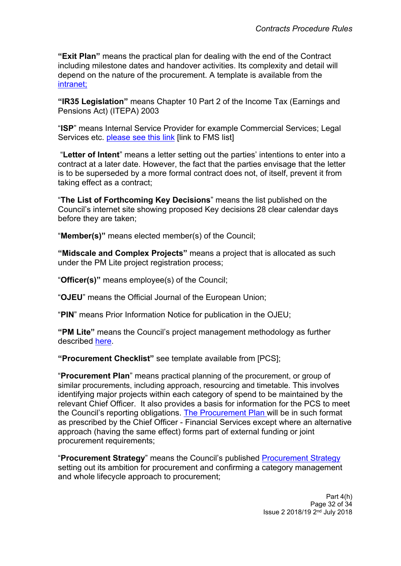**"Exit Plan"** means the practical plan for dealing with the end of the Contract including milestone dates and handover activities. Its complexity and detail will depend on the nature of the procurement. A template is available from the [intranet;](http://insite.leeds.gov.uk/DoItOnline/Pages/Forms-and-guidance.aspx?cat=Procuring%20and%20managing%20a%20contract)

**"IR35 Legislation"** means Chapter 10 Part 2 of the Income Tax (Earnings and Pensions Act) (ITEPA) 2003

"**ISP**" means Internal Service Provider for example Commercial Services; Legal Services etc. [please](http://insite.leeds.gov.uk/toolkits/Pages/Financial-management-system-(FMS)-Leeds.aspx) see this link link to FMS listl

"**Letter of Intent**" means a letter setting out the parties' intentions to enter into a contract at a later date. However, the fact that the parties envisage that the letter is to be superseded by a more formal contract does not, of itself, prevent it from taking effect as a contract;

"**The List of Forthcoming Key Decisions**" means the list published on the Council's internet site showing proposed Key decisions 28 clear calendar days before they are taken;

"**Member(s)"** means elected member(s) of the Council;

**"Midscale and Complex Projects"** means a project that is allocated as such under the PM Lite project registration process;

"**Officer(s)"** means employee(s) of the Council;

"**OJEU**" means the Official Journal of the European Union;

"**PIN**" means Prior Information Notice for publication in the OJEU;

**"PM Lite"** means the Council's project management methodology as further described [here.](http://insite.leeds.gov.uk/toolkits/Pages/PM-lite.aspx)

**"Procurement Checklist"** see template available from [PCS];

"**Procurement Plan**" means practical planning of the procurement, or group of similar procurements, including approach, resourcing and timetable. This involves identifying major projects within each category of spend to be maintained by the relevant Chief Officer. It also provides a basis for information for the PCS to meet the Council's reporting obligations. The [Procurement](http://insite.leeds.gov.uk/DoItOnline/Pages/Forms-and-guidance.aspx?cat=Procuring%20and%20managing%20a%20contract) Plan will be in such format as prescribed by the Chief Officer - Financial Services except where an alternative approach (having the same effect) forms part of external funding or joint procurement requirements;

"**Procurement Strategy**" means the Council's published [Procurement](http://www.leeds.gov.uk/docs/Procurement%20Strategy%20V1.0%20PUBLISH%2030.09.2013.pdf) Strategy setting out its ambition for procurement and confirming a category management and whole lifecycle approach to procurement;

> Part 4(h) Page 32 of 34 Issue 2 2018/19 2<sup>nd</sup> July 2018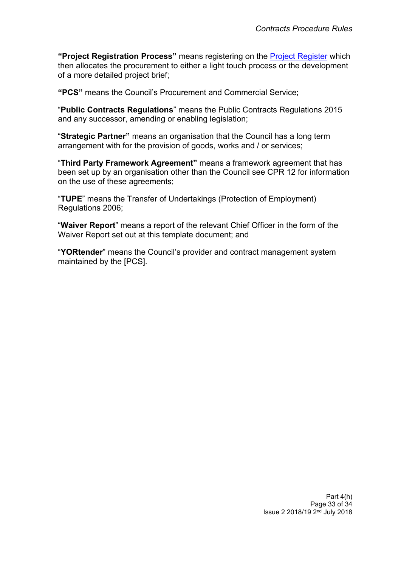**"Project Registration Process"** means registering on the Project [Register](http://insite.leeds.gov.uk/toolkits/Pages/Project-and-programme-management.aspx) which then allocates the procurement to either a light touch process or the development of a more detailed project brief;

**"PCS"** means the Council's Procurement and Commercial Service;

"**Public Contracts Regulations**" means the Public Contracts Regulations 2015 and any successor, amending or enabling legislation;

"**Strategic Partner"** means an organisation that the Council has a long term arrangement with for the provision of goods, works and / or services;

"**Third Party Framework Agreement"** means a framework agreement that has been set up by an organisation other than the Council see CPR 12 for information on the use of these agreements;

"**TUPE**" means the Transfer of Undertakings (Protection of Employment) Regulations 2006;

"**Waiver Report**" means a report of the relevant Chief Officer in the form of the Waiver Report set out at this template document; and

"**YORtender**" means the Council's provider and contract management system maintained by the [PCS].